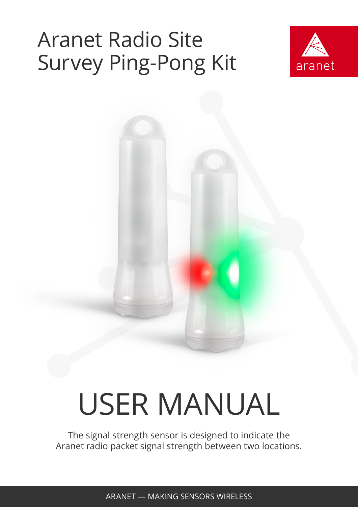## Aranet Radio Site Survey Ping-Pong Kit



# USER MANUAL

The signal strength sensor is designed to indicate the Aranet radio packet signal strength between two locations.

ARANET — MAKING SENSORS WIRELESS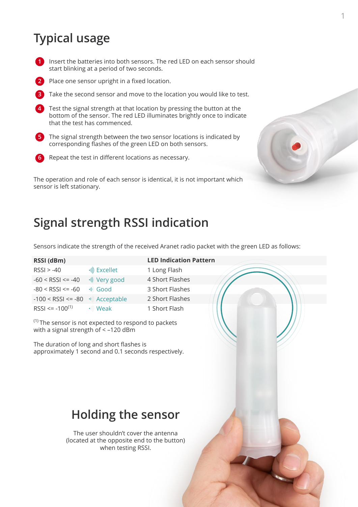## **Typical usage**



**1** Insert the batteries into both sensors. The red LED on each sensor should start blinking at a period of two seconds.

- **2** Place one sensor upright in a fixed location.
- **3** Take the second sensor and move to the location you would like to test.
- Test the signal strength at that location by pressing the button at the bottom of the sensor. The red LED illuminates brightly once to indicate that the test has commenced. **4**
- **5** The signal strength between the two sensor locations is indicated by corresponding flashes of the green LED on both sensors.
- 

**6** Repeat the test in different locations as necessary.

The operation and role of each sensor is identical, it is not important which sensor is left stationary.



## **Signal strength RSSI indication**

Sensors indicate the strength of the received Aranet radio packet with the green LED as follows:

| RSSI (dBm)               |                  |
|--------------------------|------------------|
| $RSSI > -40$             | •)) Excellet     |
| $-60 <$ RSSI $\le$ $-40$ | •)) Very go      |
| $-80 <$ RSSI $\le$ -60   | $\bullet$ ) Good |
| $-100 <$ RSSI $\le$ -80  | •)) Accepta      |
| $RSSI \le -100^{(1)}$    | •)) Weak         |

bod able

#### **LED Indication Pattern**

1 Long Flash 4 Short Flashes 3 Short Flashes 2 Short Flashes 1 Short Flash

 $(1)$  The sensor is not expected to respond to packets with a signal strength of < –120 dBm

The duration of long and short flashes is approximately 1 second and 0.1 seconds respectively.

### **Holding the sensor**

The user shouldn't cover the antenna (located at the opposite end to the button) when testing RSSI.